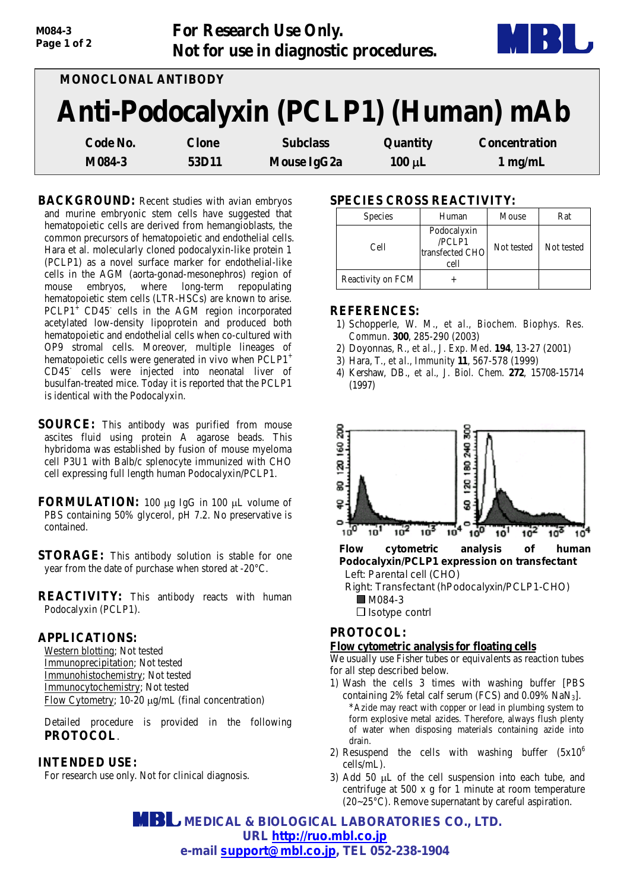| M084-3<br>Page 1 of 2 |              | For Research Use Only.<br>Not for use in diagnostic procedures. |             |                                      |
|-----------------------|--------------|-----------------------------------------------------------------|-------------|--------------------------------------|
| MONOCLONAL ANTIBODY   |              |                                                                 |             |                                      |
|                       |              |                                                                 |             | Anti-Podocalyxin (PCLP1) (Human) mAb |
| Code No.              | <b>Clone</b> | <b>Subclass</b>                                                 | Quantity    | <b>Concentration</b>                 |
| M084-3                | 53D11        | Mouse IgG2a                                                     | $100 \mu L$ | $1$ mg/mL                            |

**BACKGROUND:** Recent studies with avian embryos and murine embryonic stem cells have suggested that hematopoietic cells are derived from hemangioblasts, the common precursors of hematopoietic and endothelial cells. Hara et al. molecularly cloned podocalyxin-like protein 1 (PCLP1) as a novel surface marker for endothelial-like cells in the AGM (aorta-gonad-mesonephros) region of mouse embryos, where long-term repopulating hematopoietic stem cells (LTR-HSCs) are known to arise.  $PCLP1<sup>+</sup> CD45<sup>-</sup>$  cells in the AGM region incorporated acetylated low-density lipoprotein and produced both hematopoietic and endothelial cells when co-cultured with OP9 stromal cells. Moreover, multiple lineages of hematopoietic cells were generated in vivo when PCLP1<sup>+</sup> CD45- cells were injected into neonatal liver of busulfan-treated mice. Today it is reported that the PCLP1 is identical with the Podocalyxin.

- **SOURCE:** This antibody was purified from mouse ascites fluid using protein A agarose beads. This hybridoma was established by fusion of mouse myeloma cell P3U1 with Balb/c splenocyte immunized with CHO cell expressing full length human Podocalyxin/PCLP1.
- **FORMULATION:** 100 µg IgG in 100 µL volume of PBS containing 50% glycerol, pH 7.2. No preservative is contained.
- **STORAGE:** This antibody solution is stable for one year from the date of purchase when stored at -20°C.

**REACTIVITY:** This antibody reacts with human Podocalyxin (PCLP1).

#### **APPLICATIONS:**

Western blotting; Not tested Immunoprecipitation; Not tested Immunohistochemistry; Not tested Immunocytochemistry; Not tested Flow Cytometry; 10-20 µg/mL (final concentration)

Detailed procedure is provided in the following **PROTOCOL**.

### **INTENDED USE:**

For research use only. Not for clinical diagnosis.

# **SPECIES CROSS REACTIVITY:**

| <b>Species</b>    | Human                                            | Mouse      | Rat        |
|-------------------|--------------------------------------------------|------------|------------|
| Cell              | Podocalyxin<br>/PCLP1<br>transfected CHO<br>cell | Not tested | Not tested |
| Reactivity on FCM |                                                  |            |            |

#### **REFERENCES:**

- 1) Schopperle, W. M., *et al., Biochem. Biophys. Res. Commun*. **300**, 285-290 (2003)
- 2) Doyonnas, R., *et al., J. Exp. Med*. **194**, 13-27 (2001)
- 3) Hara, T., *et al., Immunity* **11**, 567-578 (1999)
- 4) Kershaw, DB., *et al., J. Biol. Chem*. **272**, 15708-15714 (1997)



### **PROTOCOL:**

#### **Flow cytometric analysis for floating cells**

We usually use Fisher tubes or equivalents as reaction tubes for all step described below.

- 1) Wash the cells 3 times with washing buffer [PBS containing 2% fetal calf serum (FCS) and 0.09% NaN3]. \*Azide may react with copper or lead in plumbing system to form explosive metal azides. Therefore, always flush plenty of water when disposing materials containing azide into drain.
- 2) Resuspend the cells with washing buffer  $(5x10^6)$ cells/mL).
- 3) Add 50 µL of the cell suspension into each tube, and centrifuge at 500 x g for 1 minute at room temperature (20~25°C). Remove supernatant by careful aspiration.

 **MEDICAL & BIOLOGICAL LABORATORIES CO., LTD. URL [http://ruo.mbl.co.jp](http://ruo.mbl.co.jp/) e-mail support@mbl.co.jp, TEL 052-238-1904**